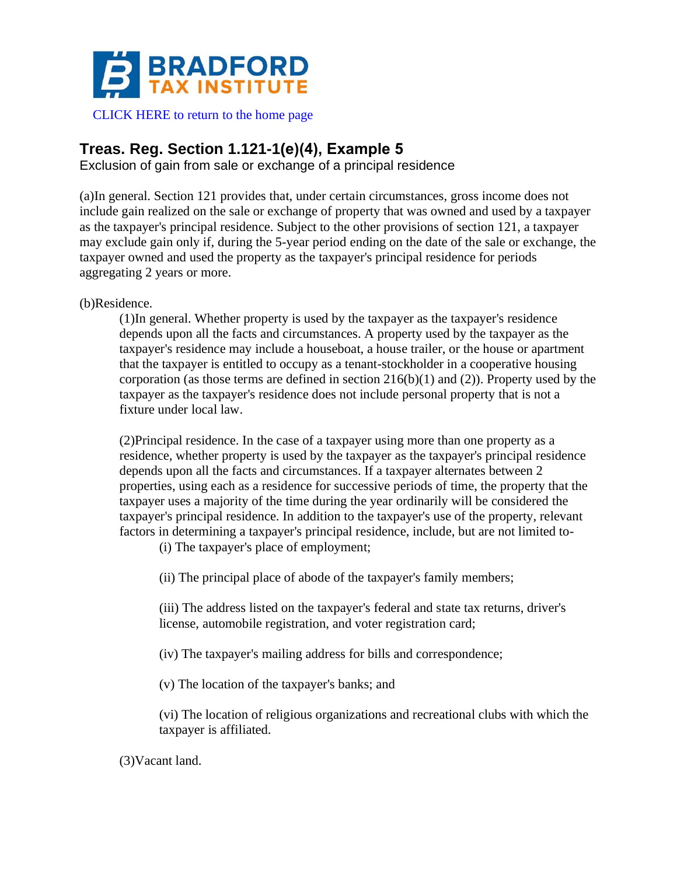

## **Treas. Reg. Section 1.121-1(e)(4), Example 5**

Exclusion of gain from sale or exchange of a principal residence

(a)In general. Section 121 provides that, under certain circumstances, gross income does not include gain realized on the sale or exchange of property that was owned and used by a taxpayer as the taxpayer's principal residence. Subject to the other provisions of section 121, a taxpayer may exclude gain only if, during the 5-year period ending on the date of the sale or exchange, the taxpayer owned and used the property as the taxpayer's principal residence for periods aggregating 2 years or more.

(b)Residence.

(1)In general. Whether property is used by the taxpayer as the taxpayer's residence depends upon all the facts and circumstances. A property used by the taxpayer as the taxpayer's residence may include a houseboat, a house trailer, or the house or apartment that the taxpayer is entitled to occupy as a tenant-stockholder in a cooperative housing corporation (as those terms are defined in section  $216(b)(1)$  and (2)). Property used by the taxpayer as the taxpayer's residence does not include personal property that is not a fixture under local law.

(2)Principal residence. In the case of a taxpayer using more than one property as a residence, whether property is used by the taxpayer as the taxpayer's principal residence depends upon all the facts and circumstances. If a taxpayer alternates between 2 properties, using each as a residence for successive periods of time, the property that the taxpayer uses a majority of the time during the year ordinarily will be considered the taxpayer's principal residence. In addition to the taxpayer's use of the property, relevant factors in determining a taxpayer's principal residence, include, but are not limited to-

(i) The taxpayer's place of employment;

(ii) The principal place of abode of the taxpayer's family members;

(iii) The address listed on the taxpayer's federal and state tax returns, driver's license, automobile registration, and voter registration card;

(iv) The taxpayer's mailing address for bills and correspondence;

(v) The location of the taxpayer's banks; and

(vi) The location of religious organizations and recreational clubs with which the taxpayer is affiliated.

(3)Vacant land.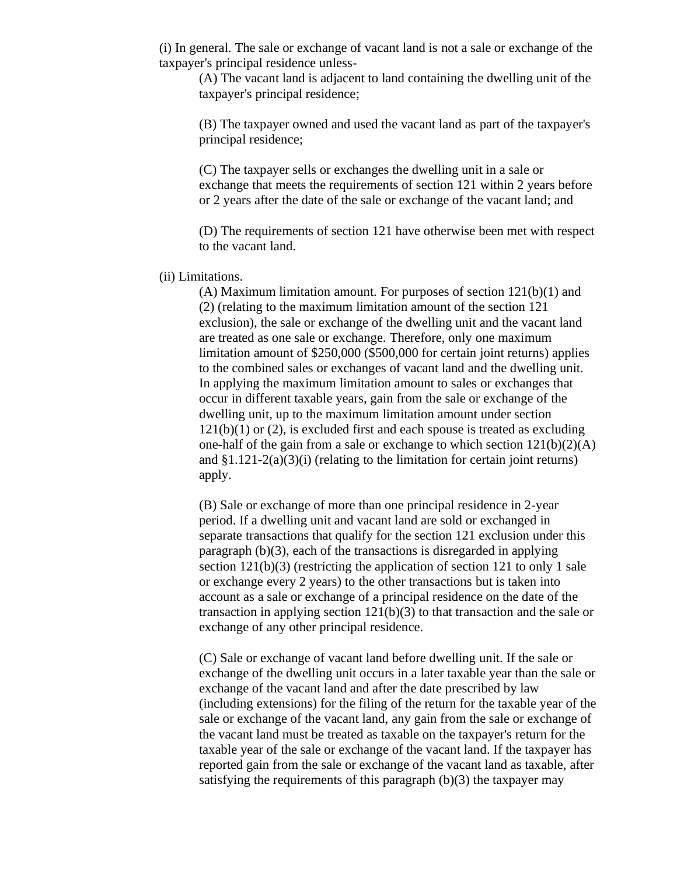(i) In general. The sale or exchange of vacant land is not a sale or exchange of the taxpayer's principal residence unless-

(A) The vacant land is adjacent to land containing the dwelling unit of the taxpayer's principal residence;

(B) The taxpayer owned and used the vacant land as part of the taxpayer's principal residence;

(C) The taxpayer sells or exchanges the dwelling unit in a sale or exchange that meets the requirements of section 121 within 2 years before or 2 years after the date of the sale or exchange of the vacant land; and

(D) The requirements of section 121 have otherwise been met with respect to the vacant land.

## (ii) Limitations.

(A) Maximum limitation amount. For purposes of section 121(b)(1) and (2) (relating to the maximum limitation amount of the section 121 exclusion), the sale or exchange of the dwelling unit and the vacant land are treated as one sale or exchange. Therefore, only one maximum limitation amount of \$250,000 (\$500,000 for certain joint returns) applies to the combined sales or exchanges of vacant land and the dwelling unit. In applying the maximum limitation amount to sales or exchanges that occur in different taxable years, gain from the sale or exchange of the dwelling unit, up to the maximum limitation amount under section  $121(b)(1)$  or (2), is excluded first and each spouse is treated as excluding one-half of the gain from a sale or exchange to which section  $121(b)(2)(A)$ and  $\S1.121-2(a)(3)(i)$  (relating to the limitation for certain joint returns) apply.

(B) Sale or exchange of more than one principal residence in 2-year period. If a dwelling unit and vacant land are sold or exchanged in separate transactions that qualify for the section 121 exclusion under this paragraph (b)(3), each of the transactions is disregarded in applying section  $121(b)(3)$  (restricting the application of section 121 to only 1 sale or exchange every 2 years) to the other transactions but is taken into account as a sale or exchange of a principal residence on the date of the transaction in applying section 121(b)(3) to that transaction and the sale or exchange of any other principal residence.

(C) Sale or exchange of vacant land before dwelling unit. If the sale or exchange of the dwelling unit occurs in a later taxable year than the sale or exchange of the vacant land and after the date prescribed by law (including extensions) for the filing of the return for the taxable year of the sale or exchange of the vacant land, any gain from the sale or exchange of the vacant land must be treated as taxable on the taxpayer's return for the taxable year of the sale or exchange of the vacant land. If the taxpayer has reported gain from the sale or exchange of the vacant land as taxable, after satisfying the requirements of this paragraph (b)(3) the taxpayer may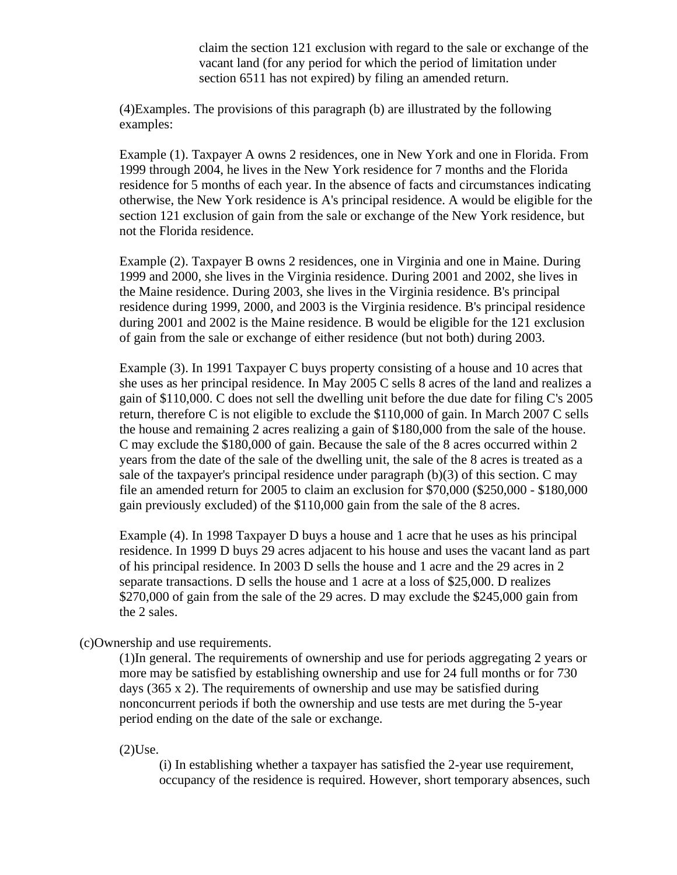claim the section 121 exclusion with regard to the sale or exchange of the vacant land (for any period for which the period of limitation under section 6511 has not expired) by filing an amended return.

(4)Examples. The provisions of this paragraph (b) are illustrated by the following examples:

Example (1). Taxpayer A owns 2 residences, one in New York and one in Florida. From 1999 through 2004, he lives in the New York residence for 7 months and the Florida residence for 5 months of each year. In the absence of facts and circumstances indicating otherwise, the New York residence is A's principal residence. A would be eligible for the section 121 exclusion of gain from the sale or exchange of the New York residence, but not the Florida residence.

Example (2). Taxpayer B owns 2 residences, one in Virginia and one in Maine. During 1999 and 2000, she lives in the Virginia residence. During 2001 and 2002, she lives in the Maine residence. During 2003, she lives in the Virginia residence. B's principal residence during 1999, 2000, and 2003 is the Virginia residence. B's principal residence during 2001 and 2002 is the Maine residence. B would be eligible for the 121 exclusion of gain from the sale or exchange of either residence (but not both) during 2003.

Example (3). In 1991 Taxpayer C buys property consisting of a house and 10 acres that she uses as her principal residence. In May 2005 C sells 8 acres of the land and realizes a gain of \$110,000. C does not sell the dwelling unit before the due date for filing C's 2005 return, therefore C is not eligible to exclude the \$110,000 of gain. In March 2007 C sells the house and remaining 2 acres realizing a gain of \$180,000 from the sale of the house. C may exclude the \$180,000 of gain. Because the sale of the 8 acres occurred within 2 years from the date of the sale of the dwelling unit, the sale of the 8 acres is treated as a sale of the taxpayer's principal residence under paragraph (b)(3) of this section. C may file an amended return for 2005 to claim an exclusion for \$70,000 (\$250,000 - \$180,000 gain previously excluded) of the \$110,000 gain from the sale of the 8 acres.

Example (4). In 1998 Taxpayer D buys a house and 1 acre that he uses as his principal residence. In 1999 D buys 29 acres adjacent to his house and uses the vacant land as part of his principal residence. In 2003 D sells the house and 1 acre and the 29 acres in 2 separate transactions. D sells the house and 1 acre at a loss of \$25,000. D realizes \$270,000 of gain from the sale of the 29 acres. D may exclude the \$245,000 gain from the 2 sales.

(c)Ownership and use requirements.

(1)In general. The requirements of ownership and use for periods aggregating 2 years or more may be satisfied by establishing ownership and use for 24 full months or for 730 days (365 x 2). The requirements of ownership and use may be satisfied during nonconcurrent periods if both the ownership and use tests are met during the 5-year period ending on the date of the sale or exchange.

(2)Use.

(i) In establishing whether a taxpayer has satisfied the 2-year use requirement, occupancy of the residence is required. However, short temporary absences, such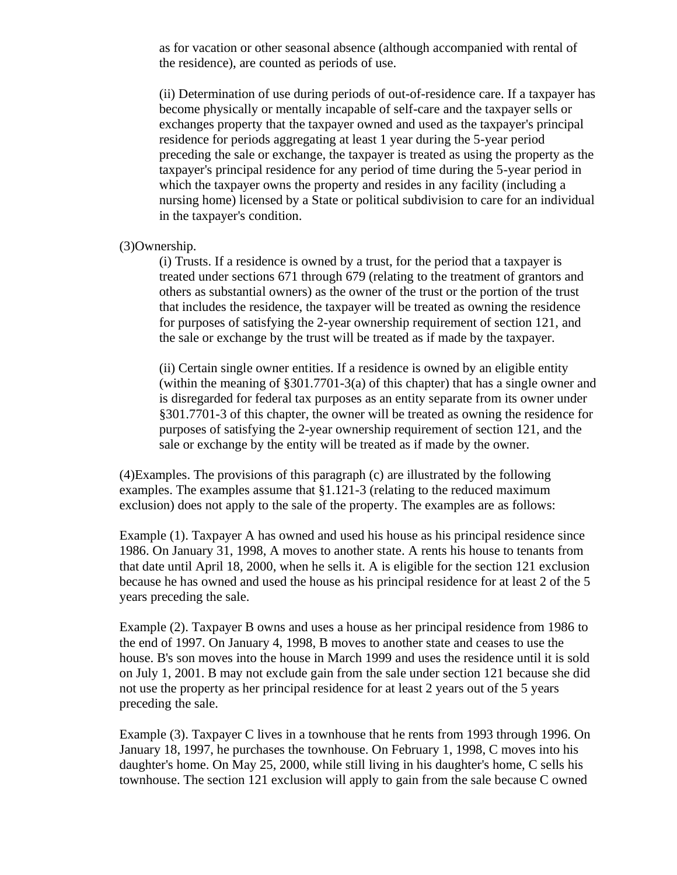as for vacation or other seasonal absence (although accompanied with rental of the residence), are counted as periods of use.

(ii) Determination of use during periods of out-of-residence care. If a taxpayer has become physically or mentally incapable of self-care and the taxpayer sells or exchanges property that the taxpayer owned and used as the taxpayer's principal residence for periods aggregating at least 1 year during the 5-year period preceding the sale or exchange, the taxpayer is treated as using the property as the taxpayer's principal residence for any period of time during the 5-year period in which the taxpayer owns the property and resides in any facility (including a nursing home) licensed by a State or political subdivision to care for an individual in the taxpayer's condition.

(3)Ownership.

(i) Trusts. If a residence is owned by a trust, for the period that a taxpayer is treated under sections 671 through 679 (relating to the treatment of grantors and others as substantial owners) as the owner of the trust or the portion of the trust that includes the residence, the taxpayer will be treated as owning the residence for purposes of satisfying the 2-year ownership requirement of section 121, and the sale or exchange by the trust will be treated as if made by the taxpayer.

(ii) Certain single owner entities. If a residence is owned by an eligible entity (within the meaning of §301.7701-3(a) of this chapter) that has a single owner and is disregarded for federal tax purposes as an entity separate from its owner under §301.7701-3 of this chapter, the owner will be treated as owning the residence for purposes of satisfying the 2-year ownership requirement of section 121, and the sale or exchange by the entity will be treated as if made by the owner.

(4)Examples. The provisions of this paragraph (c) are illustrated by the following examples. The examples assume that §1.121-3 (relating to the reduced maximum exclusion) does not apply to the sale of the property. The examples are as follows:

Example (1). Taxpayer A has owned and used his house as his principal residence since 1986. On January 31, 1998, A moves to another state. A rents his house to tenants from that date until April 18, 2000, when he sells it. A is eligible for the section 121 exclusion because he has owned and used the house as his principal residence for at least 2 of the 5 years preceding the sale.

Example (2). Taxpayer B owns and uses a house as her principal residence from 1986 to the end of 1997. On January 4, 1998, B moves to another state and ceases to use the house. B's son moves into the house in March 1999 and uses the residence until it is sold on July 1, 2001. B may not exclude gain from the sale under section 121 because she did not use the property as her principal residence for at least 2 years out of the 5 years preceding the sale.

Example (3). Taxpayer C lives in a townhouse that he rents from 1993 through 1996. On January 18, 1997, he purchases the townhouse. On February 1, 1998, C moves into his daughter's home. On May 25, 2000, while still living in his daughter's home, C sells his townhouse. The section 121 exclusion will apply to gain from the sale because C owned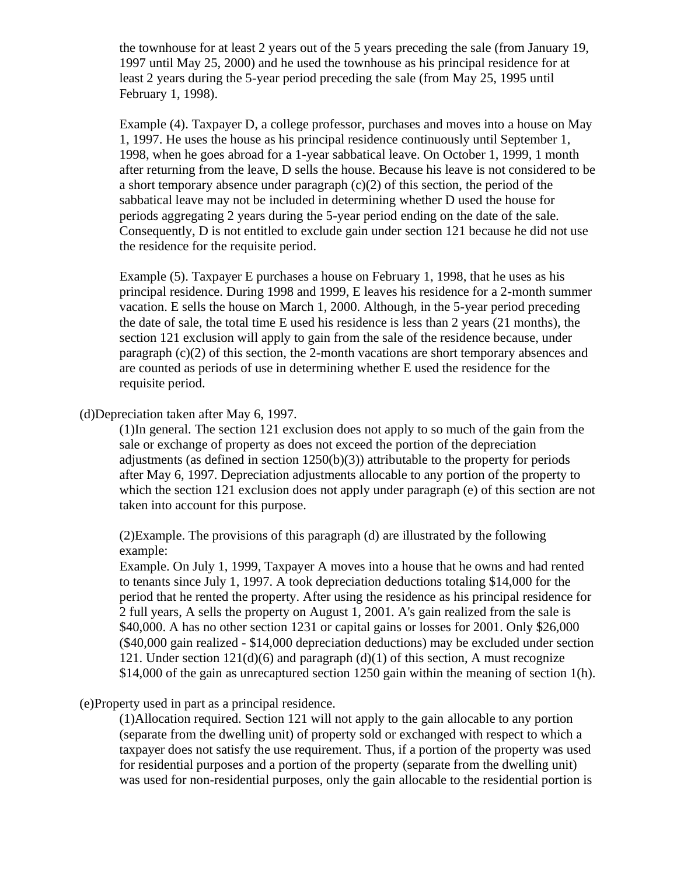the townhouse for at least 2 years out of the 5 years preceding the sale (from January 19, 1997 until May 25, 2000) and he used the townhouse as his principal residence for at least 2 years during the 5-year period preceding the sale (from May 25, 1995 until February 1, 1998).

Example (4). Taxpayer D, a college professor, purchases and moves into a house on May 1, 1997. He uses the house as his principal residence continuously until September 1, 1998, when he goes abroad for a 1-year sabbatical leave. On October 1, 1999, 1 month after returning from the leave, D sells the house. Because his leave is not considered to be a short temporary absence under paragraph (c)(2) of this section, the period of the sabbatical leave may not be included in determining whether D used the house for periods aggregating 2 years during the 5-year period ending on the date of the sale. Consequently, D is not entitled to exclude gain under section 121 because he did not use the residence for the requisite period.

Example (5). Taxpayer E purchases a house on February 1, 1998, that he uses as his principal residence. During 1998 and 1999, E leaves his residence for a 2-month summer vacation. E sells the house on March 1, 2000. Although, in the 5-year period preceding the date of sale, the total time E used his residence is less than 2 years (21 months), the section 121 exclusion will apply to gain from the sale of the residence because, under paragraph (c)(2) of this section, the 2-month vacations are short temporary absences and are counted as periods of use in determining whether E used the residence for the requisite period.

(d)Depreciation taken after May 6, 1997.

(1)In general. The section 121 exclusion does not apply to so much of the gain from the sale or exchange of property as does not exceed the portion of the depreciation adjustments (as defined in section  $1250(b)(3)$ ) attributable to the property for periods after May 6, 1997. Depreciation adjustments allocable to any portion of the property to which the section 121 exclusion does not apply under paragraph (e) of this section are not taken into account for this purpose.

(2)Example. The provisions of this paragraph (d) are illustrated by the following example:

Example. On July 1, 1999, Taxpayer A moves into a house that he owns and had rented to tenants since July 1, 1997. A took depreciation deductions totaling \$14,000 for the period that he rented the property. After using the residence as his principal residence for 2 full years, A sells the property on August 1, 2001. A's gain realized from the sale is \$40,000. A has no other section 1231 or capital gains or losses for 2001. Only \$26,000 (\$40,000 gain realized - \$14,000 depreciation deductions) may be excluded under section 121. Under section  $121(d)(6)$  and paragraph (d)(1) of this section, A must recognize \$14,000 of the gain as unrecaptured section 1250 gain within the meaning of section 1(h).

## (e)Property used in part as a principal residence.

(1)Allocation required. Section 121 will not apply to the gain allocable to any portion (separate from the dwelling unit) of property sold or exchanged with respect to which a taxpayer does not satisfy the use requirement. Thus, if a portion of the property was used for residential purposes and a portion of the property (separate from the dwelling unit) was used for non-residential purposes, only the gain allocable to the residential portion is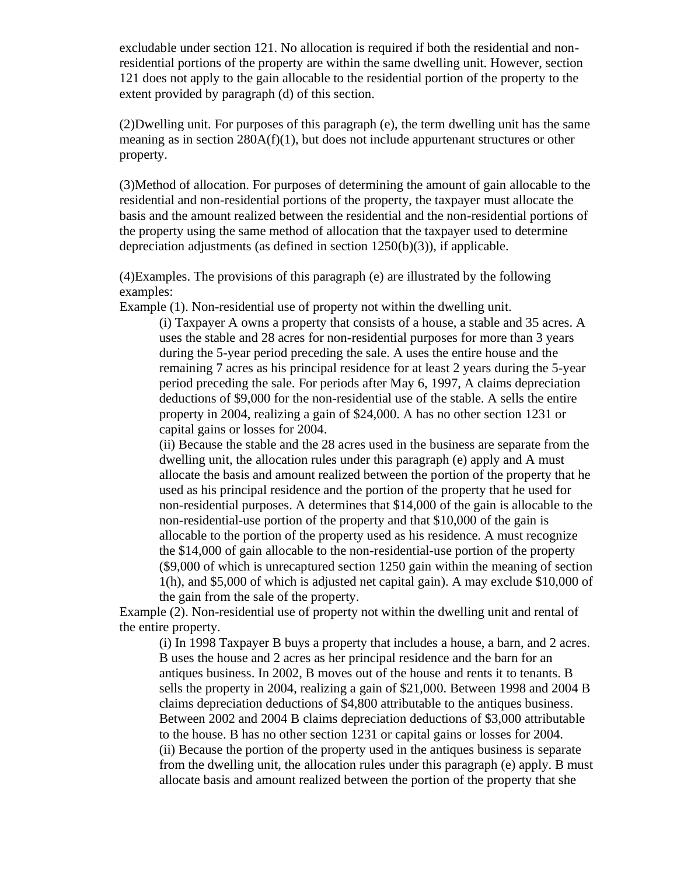excludable under section 121. No allocation is required if both the residential and nonresidential portions of the property are within the same dwelling unit. However, section 121 does not apply to the gain allocable to the residential portion of the property to the extent provided by paragraph (d) of this section.

(2)Dwelling unit. For purposes of this paragraph (e), the term dwelling unit has the same meaning as in section 280A(f)(1), but does not include appurtenant structures or other property.

(3)Method of allocation. For purposes of determining the amount of gain allocable to the residential and non-residential portions of the property, the taxpayer must allocate the basis and the amount realized between the residential and the non-residential portions of the property using the same method of allocation that the taxpayer used to determine depreciation adjustments (as defined in section 1250(b)(3)), if applicable.

(4)Examples. The provisions of this paragraph (e) are illustrated by the following examples:

Example (1). Non-residential use of property not within the dwelling unit.

(i) Taxpayer A owns a property that consists of a house, a stable and 35 acres. A uses the stable and 28 acres for non-residential purposes for more than 3 years during the 5-year period preceding the sale. A uses the entire house and the remaining 7 acres as his principal residence for at least 2 years during the 5-year period preceding the sale. For periods after May 6, 1997, A claims depreciation deductions of \$9,000 for the non-residential use of the stable. A sells the entire property in 2004, realizing a gain of \$24,000. A has no other section 1231 or capital gains or losses for 2004.

(ii) Because the stable and the 28 acres used in the business are separate from the dwelling unit, the allocation rules under this paragraph (e) apply and A must allocate the basis and amount realized between the portion of the property that he used as his principal residence and the portion of the property that he used for non-residential purposes. A determines that \$14,000 of the gain is allocable to the non-residential-use portion of the property and that \$10,000 of the gain is allocable to the portion of the property used as his residence. A must recognize the \$14,000 of gain allocable to the non-residential-use portion of the property (\$9,000 of which is unrecaptured section 1250 gain within the meaning of section 1(h), and \$5,000 of which is adjusted net capital gain). A may exclude \$10,000 of the gain from the sale of the property.

Example (2). Non-residential use of property not within the dwelling unit and rental of the entire property.

(i) In 1998 Taxpayer B buys a property that includes a house, a barn, and 2 acres. B uses the house and 2 acres as her principal residence and the barn for an antiques business. In 2002, B moves out of the house and rents it to tenants. B sells the property in 2004, realizing a gain of \$21,000. Between 1998 and 2004 B claims depreciation deductions of \$4,800 attributable to the antiques business. Between 2002 and 2004 B claims depreciation deductions of \$3,000 attributable to the house. B has no other section 1231 or capital gains or losses for 2004. (ii) Because the portion of the property used in the antiques business is separate from the dwelling unit, the allocation rules under this paragraph (e) apply. B must allocate basis and amount realized between the portion of the property that she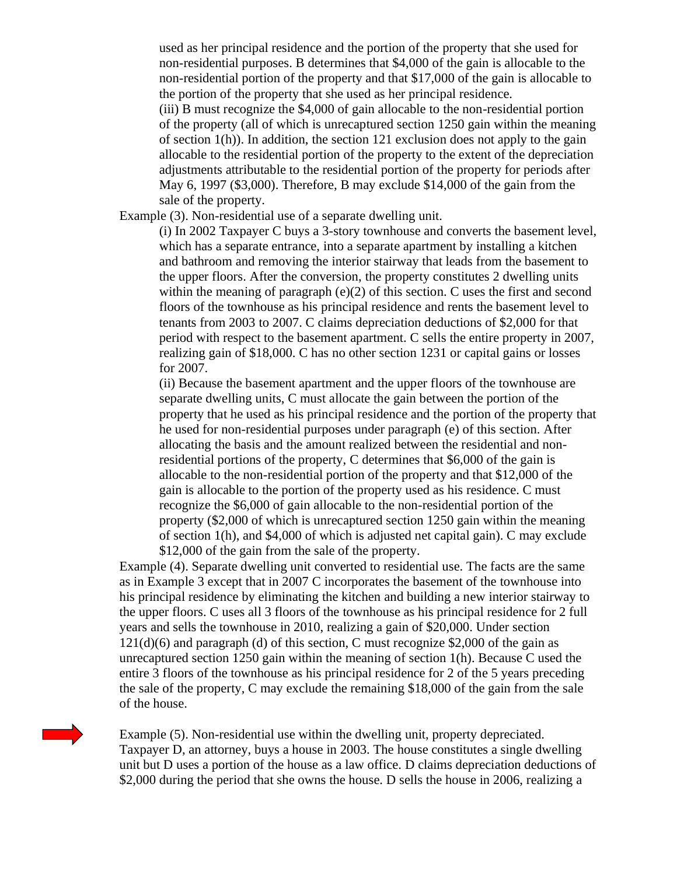used as her principal residence and the portion of the property that she used for non-residential purposes. B determines that \$4,000 of the gain is allocable to the non-residential portion of the property and that \$17,000 of the gain is allocable to the portion of the property that she used as her principal residence.

(iii) B must recognize the \$4,000 of gain allocable to the non-residential portion of the property (all of which is unrecaptured section 1250 gain within the meaning of section 1(h)). In addition, the section 121 exclusion does not apply to the gain allocable to the residential portion of the property to the extent of the depreciation adjustments attributable to the residential portion of the property for periods after May 6, 1997 (\$3,000). Therefore, B may exclude \$14,000 of the gain from the sale of the property.

Example (3). Non-residential use of a separate dwelling unit.

(i) In 2002 Taxpayer C buys a 3-story townhouse and converts the basement level, which has a separate entrance, into a separate apartment by installing a kitchen and bathroom and removing the interior stairway that leads from the basement to the upper floors. After the conversion, the property constitutes 2 dwelling units within the meaning of paragraph (e)(2) of this section. C uses the first and second floors of the townhouse as his principal residence and rents the basement level to tenants from 2003 to 2007. C claims depreciation deductions of \$2,000 for that period with respect to the basement apartment. C sells the entire property in 2007, realizing gain of \$18,000. C has no other section 1231 or capital gains or losses for 2007.

(ii) Because the basement apartment and the upper floors of the townhouse are separate dwelling units, C must allocate the gain between the portion of the property that he used as his principal residence and the portion of the property that he used for non-residential purposes under paragraph (e) of this section. After allocating the basis and the amount realized between the residential and nonresidential portions of the property, C determines that \$6,000 of the gain is allocable to the non-residential portion of the property and that \$12,000 of the gain is allocable to the portion of the property used as his residence. C must recognize the \$6,000 of gain allocable to the non-residential portion of the property (\$2,000 of which is unrecaptured section 1250 gain within the meaning of section 1(h), and \$4,000 of which is adjusted net capital gain). C may exclude \$12,000 of the gain from the sale of the property.

Example (4). Separate dwelling unit converted to residential use. The facts are the same as in Example 3 except that in 2007 C incorporates the basement of the townhouse into his principal residence by eliminating the kitchen and building a new interior stairway to the upper floors. C uses all 3 floors of the townhouse as his principal residence for 2 full years and sells the townhouse in 2010, realizing a gain of \$20,000. Under section  $121(d)(6)$  and paragraph (d) of this section, C must recognize \$2,000 of the gain as unrecaptured section 1250 gain within the meaning of section 1(h). Because C used the entire 3 floors of the townhouse as his principal residence for 2 of the 5 years preceding the sale of the property, C may exclude the remaining \$18,000 of the gain from the sale of the house.

Example (5). Non-residential use within the dwelling unit, property depreciated. Taxpayer D, an attorney, buys a house in 2003. The house constitutes a single dwelling unit but D uses a portion of the house as a law office. D claims depreciation deductions of \$2,000 during the period that she owns the house. D sells the house in 2006, realizing a